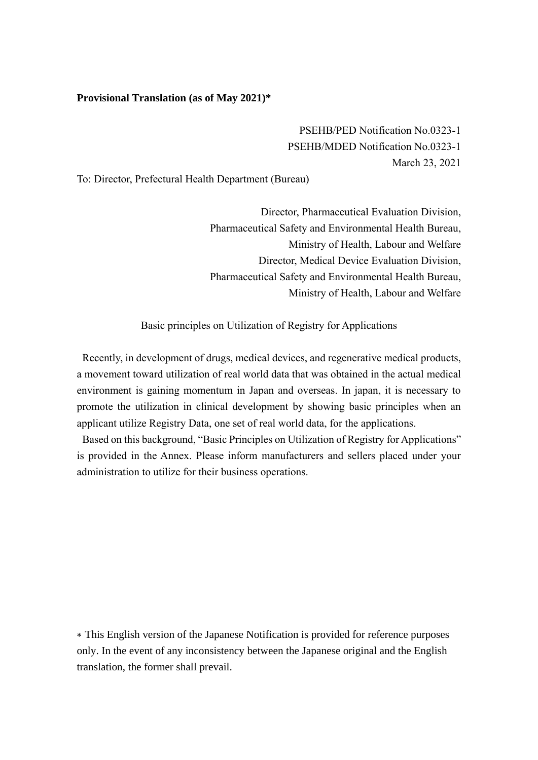## **Provisional Translation (as of May 2021)\***

PSEHB/PED Notification No.0323-1 PSEHB/MDED Notification No.0323-1 March 23, 2021

To: Director, Prefectural Health Department (Bureau)

Director, Pharmaceutical Evaluation Division, Pharmaceutical Safety and Environmental Health Bureau, Ministry of Health, Labour and Welfare Director, Medical Device Evaluation Division, Pharmaceutical Safety and Environmental Health Bureau, Ministry of Health, Labour and Welfare

Basic principles on Utilization of Registry for Applications

Recently, in development of drugs, medical devices, and regenerative medical products, a movement toward utilization of real world data that was obtained in the actual medical environment is gaining momentum in Japan and overseas. In japan, it is necessary to promote the utilization in clinical development by showing basic principles when an applicant utilize Registry Data, one set of real world data, for the applications.

Based on this background, "Basic Principles on Utilization of Registry for Applications" is provided in the Annex. Please inform manufacturers and sellers placed under your administration to utilize for their business operations.

∗ This English version of the Japanese Notification is provided for reference purposes only. In the event of any inconsistency between the Japanese original and the English translation, the former shall prevail.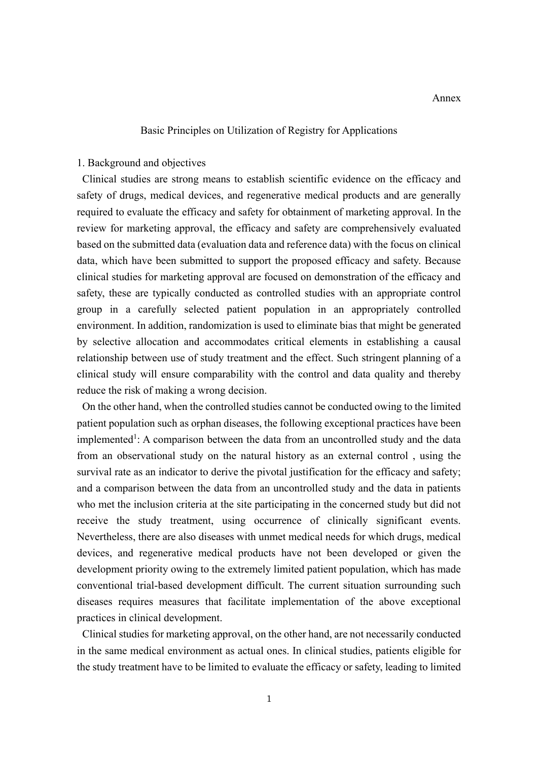## Basic Principles on Utilization of Registry for Applications

#### 1. Background and objectives

Clinical studies are strong means to establish scientific evidence on the efficacy and safety of drugs, medical devices, and regenerative medical products and are generally required to evaluate the efficacy and safety for obtainment of marketing approval. In the review for marketing approval, the efficacy and safety are comprehensively evaluated based on the submitted data (evaluation data and reference data) with the focus on clinical data, which have been submitted to support the proposed efficacy and safety. Because clinical studies for marketing approval are focused on demonstration of the efficacy and safety, these are typically conducted as controlled studies with an appropriate control group in a carefully selected patient population in an appropriately controlled environment. In addition, randomization is used to eliminate bias that might be generated by selective allocation and accommodates critical elements in establishing a causal relationship between use of study treatment and the effect. Such stringent planning of a clinical study will ensure comparability with the control and data quality and thereby reduce the risk of making a wrong decision.

On the other hand, when the controlled studies cannot be conducted owing to the limited patient population such as orphan diseases, the following exceptional practices have been implemented<sup>1</sup>: A comparison between the data from an uncontrolled study and the data from an observational study on the natural history as an external control , using the survival rate as an indicator to derive the pivotal justification for the efficacy and safety; and a comparison between the data from an uncontrolled study and the data in patients who met the inclusion criteria at the site participating in the concerned study but did not receive the study treatment, using occurrence of clinically significant events. Nevertheless, there are also diseases with unmet medical needs for which drugs, medical devices, and regenerative medical products have not been developed or given the development priority owing to the extremely limited patient population, which has made conventional trial-based development difficult. The current situation surrounding such diseases requires measures that facilitate implementation of the above exceptional practices in clinical development.

Clinical studies for marketing approval, on the other hand, are not necessarily conducted in the same medical environment as actual ones. In clinical studies, patients eligible for the study treatment have to be limited to evaluate the efficacy or safety, leading to limited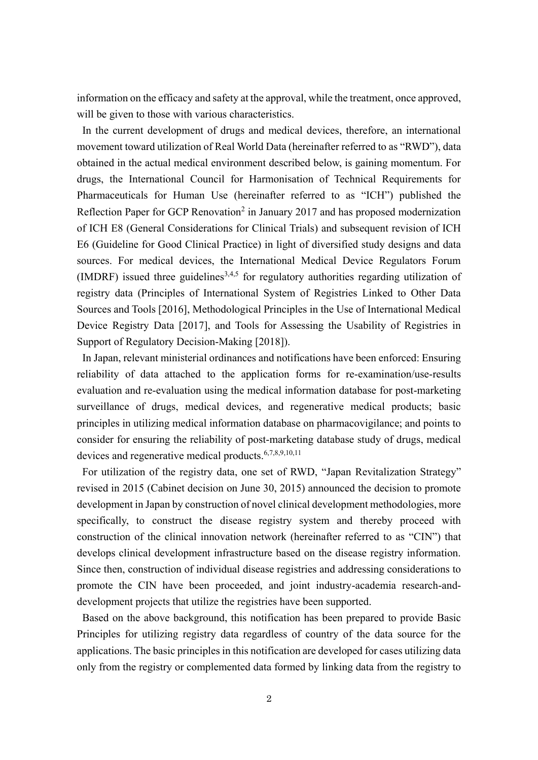information on the efficacy and safety at the approval, while the treatment, once approved, will be given to those with various characteristics.

In the current development of drugs and medical devices, therefore, an international movement toward utilization of Real World Data (hereinafter referred to as "RWD"), data obtained in the actual medical environment described below, is gaining momentum. For drugs, the International Council for Harmonisation of Technical Requirements for Pharmaceuticals for Human Use (hereinafter referred to as "ICH") published the Reflection Paper for GCP Renovation<sup>2</sup> in January 2017 and has proposed modernization of ICH E8 (General Considerations for Clinical Trials) and subsequent revision of ICH E6 (Guideline for Good Clinical Practice) in light of diversified study designs and data sources. For medical devices, the International Medical Device Regulators Forum (IMDRF) issued three guidelines<sup>3,4,5</sup> for regulatory authorities regarding utilization of registry data (Principles of International System of Registries Linked to Other Data Sources and Tools [2016], Methodological Principles in the Use of International Medical Device Registry Data [2017], and Tools for Assessing the Usability of Registries in Support of Regulatory Decision-Making [2018]).

In Japan, relevant ministerial ordinances and notifications have been enforced: Ensuring reliability of data attached to the application forms for re-examination/use-results evaluation and re-evaluation using the medical information database for post-marketing surveillance of drugs, medical devices, and regenerative medical products; basic principles in utilizing medical information database on pharmacovigilance; and points to consider for ensuring the reliability of post-marketing database study of drugs, medical devices and regenerative medical products.6,7,8,9,10,11

For utilization of the registry data, one set of RWD, "Japan Revitalization Strategy" revised in 2015 (Cabinet decision on June 30, 2015) announced the decision to promote development in Japan by construction of novel clinical development methodologies, more specifically, to construct the disease registry system and thereby proceed with construction of the clinical innovation network (hereinafter referred to as "CIN") that develops clinical development infrastructure based on the disease registry information. Since then, construction of individual disease registries and addressing considerations to promote the CIN have been proceeded, and joint industry-academia research-anddevelopment projects that utilize the registries have been supported.

Based on the above background, this notification has been prepared to provide Basic Principles for utilizing registry data regardless of country of the data source for the applications. The basic principles in this notification are developed for cases utilizing data only from the registry or complemented data formed by linking data from the registry to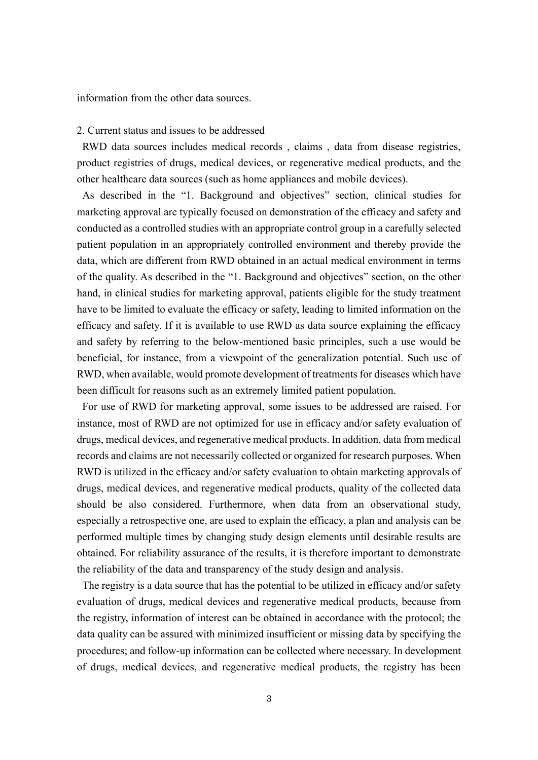information from the other data sources.

#### 2. Current status and issues to be addressed

RWD data sources includes medical records , claims , data from disease registries, product registries of drugs, medical devices, or regenerative medical products, and the other healthcare data sources (such as home appliances and mobile devices).

As described in the "1. Background and objectives" section, clinical studies for marketing approval are typically focused on demonstration of the efficacy and safety and conducted as a controlled studies with an appropriate control group in a carefully selected patient population in an appropriately controlled environment and thereby provide the data, which are different from RWD obtained in an actual medical environment in terms of the quality. As described in the "1. Background and objectives" section, on the other hand, in clinical studies for marketing approval, patients eligible for the study treatment have to be limited to evaluate the efficacy or safety, leading to limited information on the efficacy and safety. If it is available to use RWD as data source explaining the efficacy and safety by referring to the below-mentioned basic principles, such a use would be beneficial, for instance, from a viewpoint of the generalization potential. Such use of RWD, when available, would promote development of treatments for diseases which have been difficult for reasons such as an extremely limited patient population.

For use of RWD for marketing approval, some issues to be addressed are raised. For instance, most of RWD are not optimized for use in efficacy and/or safety evaluation of drugs, medical devices, and regenerative medical products. In addition, data from medical records and claims are not necessarily collected or organized for research purposes. When RWD is utilized in the efficacy and/or safety evaluation to obtain marketing approvals of drugs, medical devices, and regenerative medical products, quality of the collected data should be also considered. Furthermore, when data from an observational study, especially a retrospective one, are used to explain the efficacy, a plan and analysis can be performed multiple times by changing study design elements until desirable results are obtained. For reliability assurance of the results, it is therefore important to demonstrate the reliability of the data and transparency of the study design and analysis.

The registry is a data source that has the potential to be utilized in efficacy and/or safety evaluation of drugs, medical devices and regenerative medical products, because from the registry, information of interest can be obtained in accordance with the protocol; the data quality can be assured with minimized insufficient or missing data by specifying the procedures; and follow-up information can be collected where necessary. In development of drugs, medical devices, and regenerative medical products, the registry has been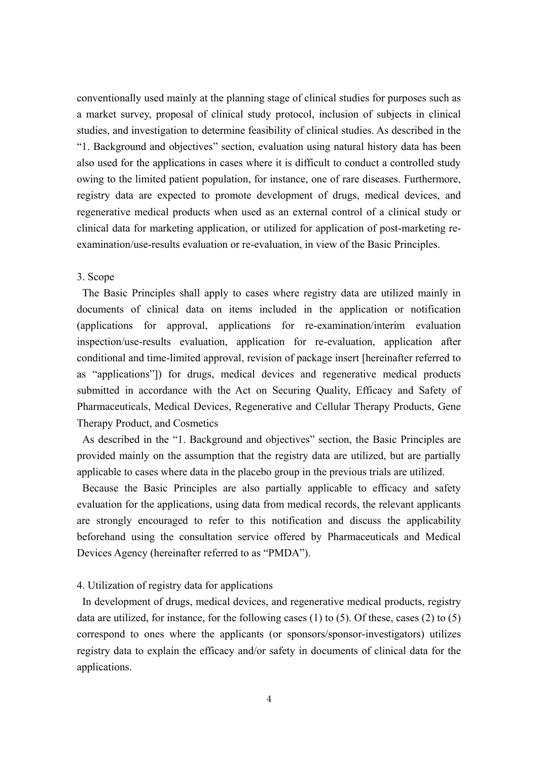conventionally used mainly at the planning stage of clinical studies for purposes such as a market survey, proposal of clinical study protocol, inclusion of subjects in clinical studies, and investigation to determine feasibility of clinical studies. As described in the "1. Background and objectives" section, evaluation using natural history data has been also used for the applications in cases where it is difficult to conduct a controlled study owing to the limited patient population, for instance, one of rare diseases. Furthermore, registry data are expected to promote development of drugs, medical devices, and regenerative medical products when used as an external control of a clinical study or clinical data for marketing application, or utilized for application of post-marketing reexamination/use-results evaluation or re-evaluation, in view of the Basic Principles.

## 3. Scope

The Basic Principles shall apply to cases where registry data are utilized mainly in documents of clinical data on items included in the application or notification (applications for approval, applications for re-examination/interim evaluation inspection/use-results evaluation, application for re-evaluation, application after conditional and time-limited approval, revision of package insert [hereinafter referred to as "applications"]) for drugs, medical devices and regenerative medical products submitted in accordance with the Act on Securing Quality, Efficacy and Safety of Pharmaceuticals, Medical Devices, Regenerative and Cellular Therapy Products, Gene Therapy Product, and Cosmetics

As described in the "1. Background and objectives" section, the Basic Principles are provided mainly on the assumption that the registry data are utilized, but are partially applicable to cases where data in the placebo group in the previous trials are utilized.

Because the Basic Principles are also partially applicable to efficacy and safety evaluation for the applications, using data from medical records, the relevant applicants are strongly encouraged to refer to this notification and discuss the applicability beforehand using the consultation service offered by Pharmaceuticals and Medical Devices Agency (hereinafter referred to as "PMDA").

### 4. Utilization of registry data for applications

In development of drugs, medical devices, and regenerative medical products, registry data are utilized, for instance, for the following cases  $(1)$  to  $(5)$ . Of these, cases  $(2)$  to  $(5)$ correspond to ones where the applicants (or sponsors/sponsor-investigators) utilizes registry data to explain the efficacy and/or safety in documents of clinical data for the applications.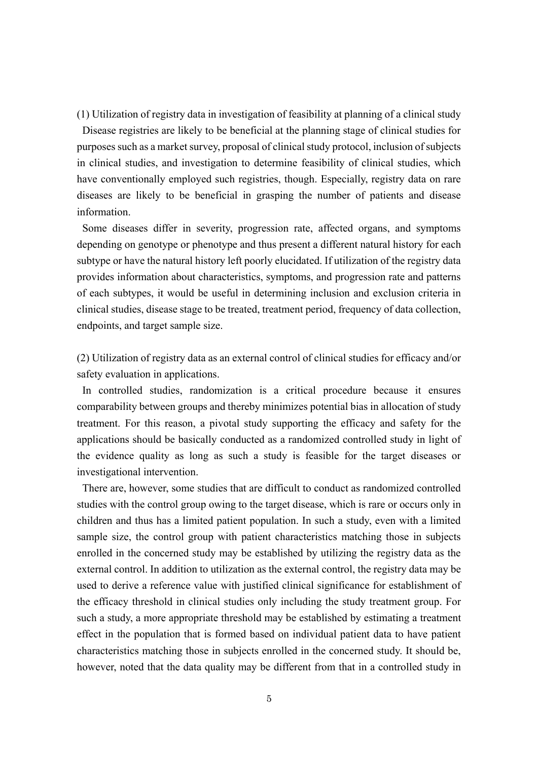(1) Utilization of registry data in investigation of feasibility at planning of a clinical study Disease registries are likely to be beneficial at the planning stage of clinical studies for purposes such as a market survey, proposal of clinical study protocol, inclusion of subjects in clinical studies, and investigation to determine feasibility of clinical studies, which have conventionally employed such registries, though. Especially, registry data on rare diseases are likely to be beneficial in grasping the number of patients and disease information.

Some diseases differ in severity, progression rate, affected organs, and symptoms depending on genotype or phenotype and thus present a different natural history for each subtype or have the natural history left poorly elucidated. If utilization of the registry data provides information about characteristics, symptoms, and progression rate and patterns of each subtypes, it would be useful in determining inclusion and exclusion criteria in clinical studies, disease stage to be treated, treatment period, frequency of data collection, endpoints, and target sample size.

(2) Utilization of registry data as an external control of clinical studies for efficacy and/or safety evaluation in applications.

In controlled studies, randomization is a critical procedure because it ensures comparability between groups and thereby minimizes potential bias in allocation of study treatment. For this reason, a pivotal study supporting the efficacy and safety for the applications should be basically conducted as a randomized controlled study in light of the evidence quality as long as such a study is feasible for the target diseases or investigational intervention.

There are, however, some studies that are difficult to conduct as randomized controlled studies with the control group owing to the target disease, which is rare or occurs only in children and thus has a limited patient population. In such a study, even with a limited sample size, the control group with patient characteristics matching those in subjects enrolled in the concerned study may be established by utilizing the registry data as the external control. In addition to utilization as the external control, the registry data may be used to derive a reference value with justified clinical significance for establishment of the efficacy threshold in clinical studies only including the study treatment group. For such a study, a more appropriate threshold may be established by estimating a treatment effect in the population that is formed based on individual patient data to have patient characteristics matching those in subjects enrolled in the concerned study. It should be, however, noted that the data quality may be different from that in a controlled study in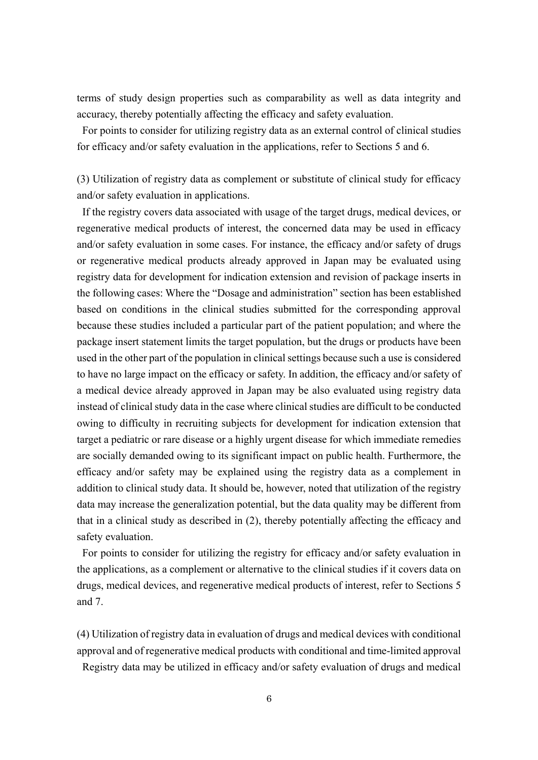terms of study design properties such as comparability as well as data integrity and accuracy, thereby potentially affecting the efficacy and safety evaluation.

For points to consider for utilizing registry data as an external control of clinical studies for efficacy and/or safety evaluation in the applications, refer to Sections 5 and 6.

(3) Utilization of registry data as complement or substitute of clinical study for efficacy and/or safety evaluation in applications.

If the registry covers data associated with usage of the target drugs, medical devices, or regenerative medical products of interest, the concerned data may be used in efficacy and/or safety evaluation in some cases. For instance, the efficacy and/or safety of drugs or regenerative medical products already approved in Japan may be evaluated using registry data for development for indication extension and revision of package inserts in the following cases: Where the "Dosage and administration" section has been established based on conditions in the clinical studies submitted for the corresponding approval because these studies included a particular part of the patient population; and where the package insert statement limits the target population, but the drugs or products have been used in the other part of the population in clinical settings because such a use is considered to have no large impact on the efficacy or safety. In addition, the efficacy and/or safety of a medical device already approved in Japan may be also evaluated using registry data instead of clinical study data in the case where clinical studies are difficult to be conducted owing to difficulty in recruiting subjects for development for indication extension that target a pediatric or rare disease or a highly urgent disease for which immediate remedies are socially demanded owing to its significant impact on public health. Furthermore, the efficacy and/or safety may be explained using the registry data as a complement in addition to clinical study data. It should be, however, noted that utilization of the registry data may increase the generalization potential, but the data quality may be different from that in a clinical study as described in (2), thereby potentially affecting the efficacy and safety evaluation.

For points to consider for utilizing the registry for efficacy and/or safety evaluation in the applications, as a complement or alternative to the clinical studies if it covers data on drugs, medical devices, and regenerative medical products of interest, refer to Sections 5 and 7.

(4) Utilization of registry data in evaluation of drugs and medical devices with conditional approval and of regenerative medical products with conditional and time-limited approval Registry data may be utilized in efficacy and/or safety evaluation of drugs and medical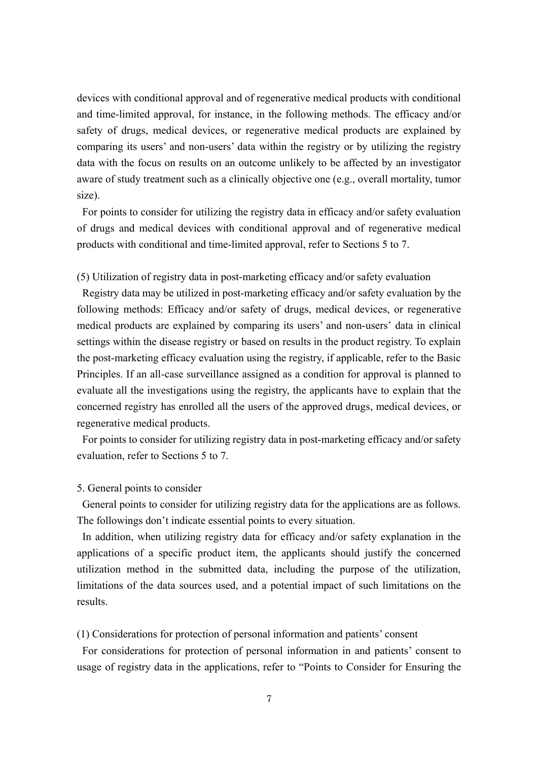devices with conditional approval and of regenerative medical products with conditional and time-limited approval, for instance, in the following methods. The efficacy and/or safety of drugs, medical devices, or regenerative medical products are explained by comparing its users' and non-users' data within the registry or by utilizing the registry data with the focus on results on an outcome unlikely to be affected by an investigator aware of study treatment such as a clinically objective one (e.g., overall mortality, tumor size).

For points to consider for utilizing the registry data in efficacy and/or safety evaluation of drugs and medical devices with conditional approval and of regenerative medical products with conditional and time-limited approval, refer to Sections 5 to 7.

## (5) Utilization of registry data in post-marketing efficacy and/or safety evaluation

Registry data may be utilized in post-marketing efficacy and/or safety evaluation by the following methods: Efficacy and/or safety of drugs, medical devices, or regenerative medical products are explained by comparing its users' and non-users' data in clinical settings within the disease registry or based on results in the product registry. To explain the post-marketing efficacy evaluation using the registry, if applicable, refer to the Basic Principles. If an all-case surveillance assigned as a condition for approval is planned to evaluate all the investigations using the registry, the applicants have to explain that the concerned registry has enrolled all the users of the approved drugs, medical devices, or regenerative medical products.

For points to consider for utilizing registry data in post-marketing efficacy and/or safety evaluation, refer to Sections 5 to 7.

# 5. General points to consider

General points to consider for utilizing registry data for the applications are as follows. The followings don't indicate essential points to every situation.

In addition, when utilizing registry data for efficacy and/or safety explanation in the applications of a specific product item, the applicants should justify the concerned utilization method in the submitted data, including the purpose of the utilization, limitations of the data sources used, and a potential impact of such limitations on the results.

(1) Considerations for protection of personal information and patients' consent

For considerations for protection of personal information in and patients' consent to usage of registry data in the applications, refer to "Points to Consider for Ensuring the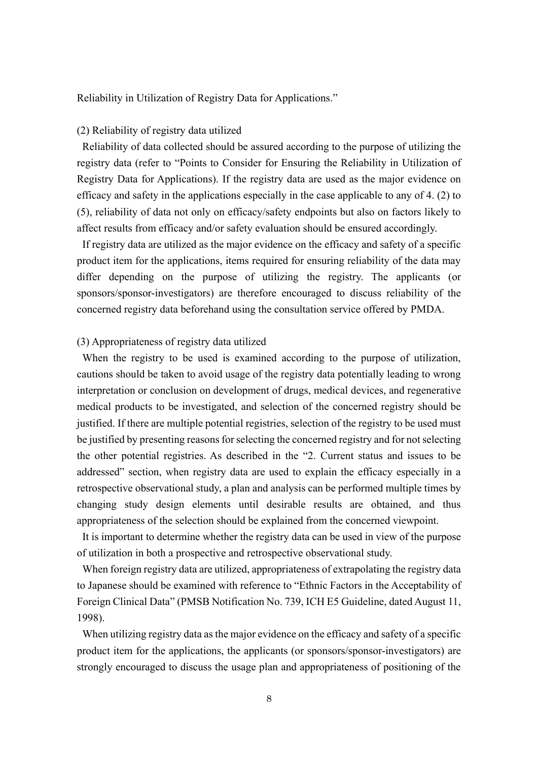Reliability in Utilization of Registry Data for Applications."

## (2) Reliability of registry data utilized

Reliability of data collected should be assured according to the purpose of utilizing the registry data (refer to "Points to Consider for Ensuring the Reliability in Utilization of Registry Data for Applications). If the registry data are used as the major evidence on efficacy and safety in the applications especially in the case applicable to any of 4. (2) to (5), reliability of data not only on efficacy/safety endpoints but also on factors likely to affect results from efficacy and/or safety evaluation should be ensured accordingly.

If registry data are utilized as the major evidence on the efficacy and safety of a specific product item for the applications, items required for ensuring reliability of the data may differ depending on the purpose of utilizing the registry. The applicants (or sponsors/sponsor-investigators) are therefore encouraged to discuss reliability of the concerned registry data beforehand using the consultation service offered by PMDA.

## (3) Appropriateness of registry data utilized

When the registry to be used is examined according to the purpose of utilization, cautions should be taken to avoid usage of the registry data potentially leading to wrong interpretation or conclusion on development of drugs, medical devices, and regenerative medical products to be investigated, and selection of the concerned registry should be justified. If there are multiple potential registries, selection of the registry to be used must be justified by presenting reasons for selecting the concerned registry and for not selecting the other potential registries. As described in the "2. Current status and issues to be addressed" section, when registry data are used to explain the efficacy especially in a retrospective observational study, a plan and analysis can be performed multiple times by changing study design elements until desirable results are obtained, and thus appropriateness of the selection should be explained from the concerned viewpoint.

It is important to determine whether the registry data can be used in view of the purpose of utilization in both a prospective and retrospective observational study.

When foreign registry data are utilized, appropriateness of extrapolating the registry data to Japanese should be examined with reference to "Ethnic Factors in the Acceptability of Foreign Clinical Data" (PMSB Notification No. 739, ICH E5 Guideline, dated August 11, 1998).

When utilizing registry data as the major evidence on the efficacy and safety of a specific product item for the applications, the applicants (or sponsors/sponsor-investigators) are strongly encouraged to discuss the usage plan and appropriateness of positioning of the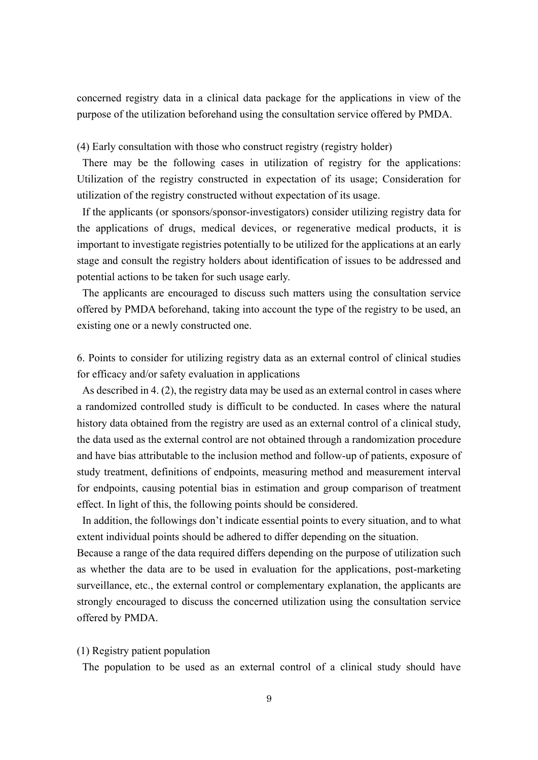concerned registry data in a clinical data package for the applications in view of the purpose of the utilization beforehand using the consultation service offered by PMDA.

(4) Early consultation with those who construct registry (registry holder)

There may be the following cases in utilization of registry for the applications: Utilization of the registry constructed in expectation of its usage; Consideration for utilization of the registry constructed without expectation of its usage.

If the applicants (or sponsors/sponsor-investigators) consider utilizing registry data for the applications of drugs, medical devices, or regenerative medical products, it is important to investigate registries potentially to be utilized for the applications at an early stage and consult the registry holders about identification of issues to be addressed and potential actions to be taken for such usage early.

The applicants are encouraged to discuss such matters using the consultation service offered by PMDA beforehand, taking into account the type of the registry to be used, an existing one or a newly constructed one.

6. Points to consider for utilizing registry data as an external control of clinical studies for efficacy and/or safety evaluation in applications

As described in 4. (2), the registry data may be used as an external control in cases where a randomized controlled study is difficult to be conducted. In cases where the natural history data obtained from the registry are used as an external control of a clinical study, the data used as the external control are not obtained through a randomization procedure and have bias attributable to the inclusion method and follow-up of patients, exposure of study treatment, definitions of endpoints, measuring method and measurement interval for endpoints, causing potential bias in estimation and group comparison of treatment effect. In light of this, the following points should be considered.

In addition, the followings don't indicate essential points to every situation, and to what extent individual points should be adhered to differ depending on the situation.

Because a range of the data required differs depending on the purpose of utilization such as whether the data are to be used in evaluation for the applications, post-marketing surveillance, etc., the external control or complementary explanation, the applicants are strongly encouraged to discuss the concerned utilization using the consultation service offered by PMDA.

#### (1) Registry patient population

The population to be used as an external control of a clinical study should have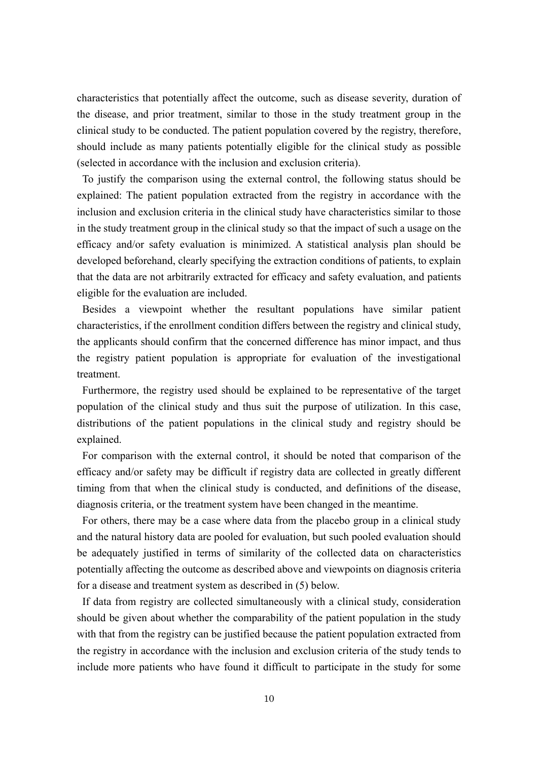characteristics that potentially affect the outcome, such as disease severity, duration of the disease, and prior treatment, similar to those in the study treatment group in the clinical study to be conducted. The patient population covered by the registry, therefore, should include as many patients potentially eligible for the clinical study as possible (selected in accordance with the inclusion and exclusion criteria).

To justify the comparison using the external control, the following status should be explained: The patient population extracted from the registry in accordance with the inclusion and exclusion criteria in the clinical study have characteristics similar to those in the study treatment group in the clinical study so that the impact of such a usage on the efficacy and/or safety evaluation is minimized. A statistical analysis plan should be developed beforehand, clearly specifying the extraction conditions of patients, to explain that the data are not arbitrarily extracted for efficacy and safety evaluation, and patients eligible for the evaluation are included.

Besides a viewpoint whether the resultant populations have similar patient characteristics, if the enrollment condition differs between the registry and clinical study, the applicants should confirm that the concerned difference has minor impact, and thus the registry patient population is appropriate for evaluation of the investigational treatment.

Furthermore, the registry used should be explained to be representative of the target population of the clinical study and thus suit the purpose of utilization. In this case, distributions of the patient populations in the clinical study and registry should be explained.

For comparison with the external control, it should be noted that comparison of the efficacy and/or safety may be difficult if registry data are collected in greatly different timing from that when the clinical study is conducted, and definitions of the disease, diagnosis criteria, or the treatment system have been changed in the meantime.

For others, there may be a case where data from the placebo group in a clinical study and the natural history data are pooled for evaluation, but such pooled evaluation should be adequately justified in terms of similarity of the collected data on characteristics potentially affecting the outcome as described above and viewpoints on diagnosis criteria for a disease and treatment system as described in (5) below.

If data from registry are collected simultaneously with a clinical study, consideration should be given about whether the comparability of the patient population in the study with that from the registry can be justified because the patient population extracted from the registry in accordance with the inclusion and exclusion criteria of the study tends to include more patients who have found it difficult to participate in the study for some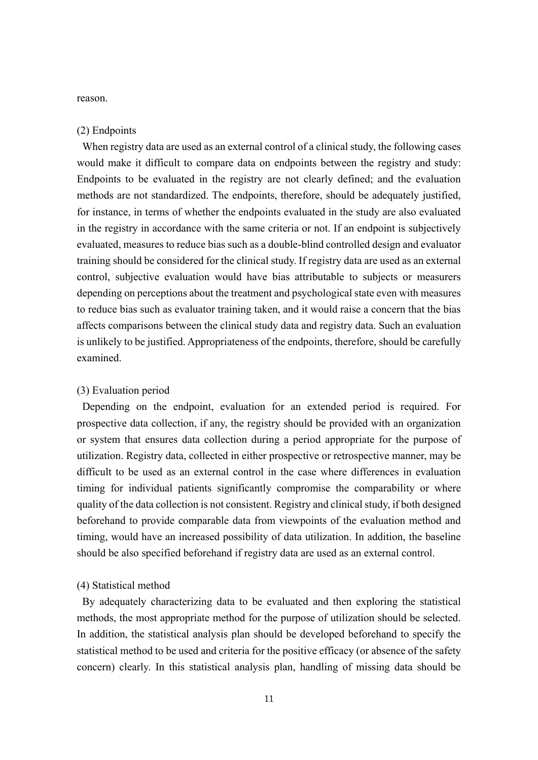reason.

## (2) Endpoints

When registry data are used as an external control of a clinical study, the following cases would make it difficult to compare data on endpoints between the registry and study: Endpoints to be evaluated in the registry are not clearly defined; and the evaluation methods are not standardized. The endpoints, therefore, should be adequately justified, for instance, in terms of whether the endpoints evaluated in the study are also evaluated in the registry in accordance with the same criteria or not. If an endpoint is subjectively evaluated, measures to reduce bias such as a double-blind controlled design and evaluator training should be considered for the clinical study. If registry data are used as an external control, subjective evaluation would have bias attributable to subjects or measurers depending on perceptions about the treatment and psychological state even with measures to reduce bias such as evaluator training taken, and it would raise a concern that the bias affects comparisons between the clinical study data and registry data. Such an evaluation is unlikely to be justified. Appropriateness of the endpoints, therefore, should be carefully examined.

## (3) Evaluation period

Depending on the endpoint, evaluation for an extended period is required. For prospective data collection, if any, the registry should be provided with an organization or system that ensures data collection during a period appropriate for the purpose of utilization. Registry data, collected in either prospective or retrospective manner, may be difficult to be used as an external control in the case where differences in evaluation timing for individual patients significantly compromise the comparability or where quality of the data collection is not consistent. Registry and clinical study, if both designed beforehand to provide comparable data from viewpoints of the evaluation method and timing, would have an increased possibility of data utilization. In addition, the baseline should be also specified beforehand if registry data are used as an external control.

#### (4) Statistical method

By adequately characterizing data to be evaluated and then exploring the statistical methods, the most appropriate method for the purpose of utilization should be selected. In addition, the statistical analysis plan should be developed beforehand to specify the statistical method to be used and criteria for the positive efficacy (or absence of the safety concern) clearly. In this statistical analysis plan, handling of missing data should be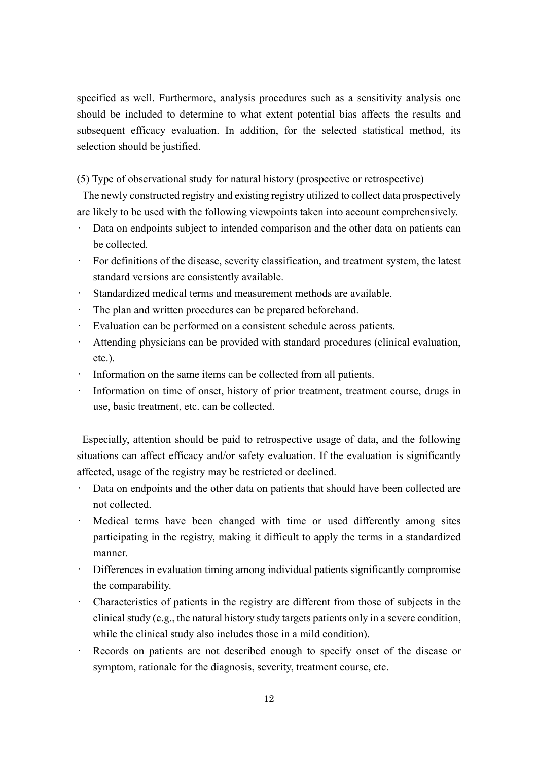specified as well. Furthermore, analysis procedures such as a sensitivity analysis one should be included to determine to what extent potential bias affects the results and subsequent efficacy evaluation. In addition, for the selected statistical method, its selection should be justified.

(5) Type of observational study for natural history (prospective or retrospective)

The newly constructed registry and existing registry utilized to collect data prospectively are likely to be used with the following viewpoints taken into account comprehensively.

- Data on endpoints subject to intended comparison and the other data on patients can be collected.
- For definitions of the disease, severity classification, and treatment system, the latest standard versions are consistently available.
- Standardized medical terms and measurement methods are available.
- The plan and written procedures can be prepared beforehand.
- Evaluation can be performed on a consistent schedule across patients.
- Attending physicians can be provided with standard procedures (clinical evaluation, etc.).
- Information on the same items can be collected from all patients.
- Information on time of onset, history of prior treatment, treatment course, drugs in use, basic treatment, etc. can be collected.

Especially, attention should be paid to retrospective usage of data, and the following situations can affect efficacy and/or safety evaluation. If the evaluation is significantly affected, usage of the registry may be restricted or declined.

- Data on endpoints and the other data on patients that should have been collected are not collected.
- Medical terms have been changed with time or used differently among sites participating in the registry, making it difficult to apply the terms in a standardized manner.
- Differences in evaluation timing among individual patients significantly compromise the comparability.
- Characteristics of patients in the registry are different from those of subjects in the clinical study (e.g., the natural history study targets patients only in a severe condition, while the clinical study also includes those in a mild condition).
- Records on patients are not described enough to specify onset of the disease or symptom, rationale for the diagnosis, severity, treatment course, etc.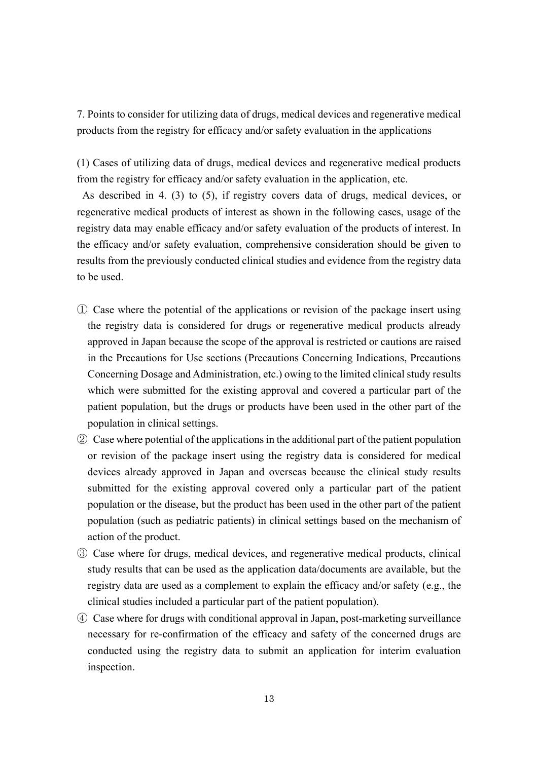7. Points to consider for utilizing data of drugs, medical devices and regenerative medical products from the registry for efficacy and/or safety evaluation in the applications

(1) Cases of utilizing data of drugs, medical devices and regenerative medical products from the registry for efficacy and/or safety evaluation in the application, etc.

As described in 4. (3) to (5), if registry covers data of drugs, medical devices, or regenerative medical products of interest as shown in the following cases, usage of the registry data may enable efficacy and/or safety evaluation of the products of interest. In the efficacy and/or safety evaluation, comprehensive consideration should be given to results from the previously conducted clinical studies and evidence from the registry data to be used.

- ① Case where the potential of the applications or revision of the package insert using the registry data is considered for drugs or regenerative medical products already approved in Japan because the scope of the approval is restricted or cautions are raised in the Precautions for Use sections (Precautions Concerning Indications, Precautions Concerning Dosage and Administration, etc.) owing to the limited clinical study results which were submitted for the existing approval and covered a particular part of the patient population, but the drugs or products have been used in the other part of the population in clinical settings.
- ② Case where potential of the applications in the additional part of the patient population or revision of the package insert using the registry data is considered for medical devices already approved in Japan and overseas because the clinical study results submitted for the existing approval covered only a particular part of the patient population or the disease, but the product has been used in the other part of the patient population (such as pediatric patients) in clinical settings based on the mechanism of action of the product.
- ③ Case where for drugs, medical devices, and regenerative medical products, clinical study results that can be used as the application data/documents are available, but the registry data are used as a complement to explain the efficacy and/or safety (e.g., the clinical studies included a particular part of the patient population).
- ④ Case where for drugs with conditional approval in Japan, post-marketing surveillance necessary for re-confirmation of the efficacy and safety of the concerned drugs are conducted using the registry data to submit an application for interim evaluation inspection.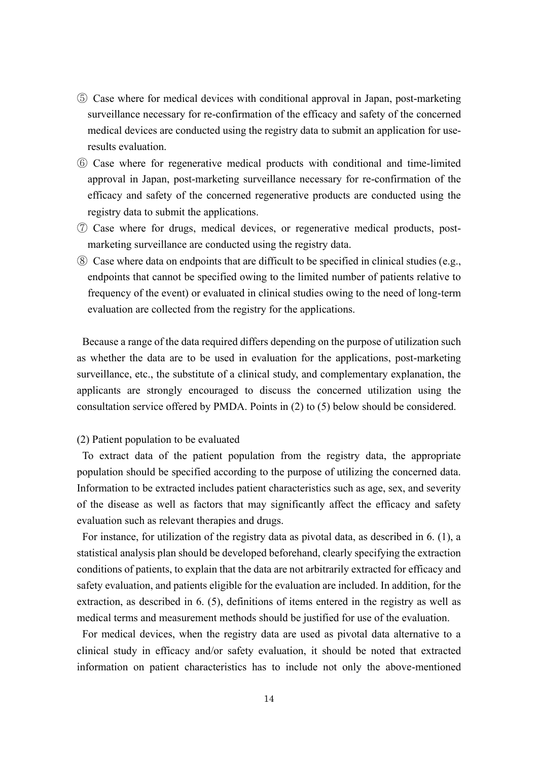- ⑤ Case where for medical devices with conditional approval in Japan, post-marketing surveillance necessary for re-confirmation of the efficacy and safety of the concerned medical devices are conducted using the registry data to submit an application for useresults evaluation.
- ⑥ Case where for regenerative medical products with conditional and time-limited approval in Japan, post-marketing surveillance necessary for re-confirmation of the efficacy and safety of the concerned regenerative products are conducted using the registry data to submit the applications.
- ⑦ Case where for drugs, medical devices, or regenerative medical products, postmarketing surveillance are conducted using the registry data.
- ⑧ Case where data on endpoints that are difficult to be specified in clinical studies (e.g., endpoints that cannot be specified owing to the limited number of patients relative to frequency of the event) or evaluated in clinical studies owing to the need of long-term evaluation are collected from the registry for the applications.

Because a range of the data required differs depending on the purpose of utilization such as whether the data are to be used in evaluation for the applications, post-marketing surveillance, etc., the substitute of a clinical study, and complementary explanation, the applicants are strongly encouraged to discuss the concerned utilization using the consultation service offered by PMDA. Points in (2) to (5) below should be considered.

# (2) Patient population to be evaluated

To extract data of the patient population from the registry data, the appropriate population should be specified according to the purpose of utilizing the concerned data. Information to be extracted includes patient characteristics such as age, sex, and severity of the disease as well as factors that may significantly affect the efficacy and safety evaluation such as relevant therapies and drugs.

For instance, for utilization of the registry data as pivotal data, as described in 6. (1), a statistical analysis plan should be developed beforehand, clearly specifying the extraction conditions of patients, to explain that the data are not arbitrarily extracted for efficacy and safety evaluation, and patients eligible for the evaluation are included. In addition, for the extraction, as described in 6. (5), definitions of items entered in the registry as well as medical terms and measurement methods should be justified for use of the evaluation.

For medical devices, when the registry data are used as pivotal data alternative to a clinical study in efficacy and/or safety evaluation, it should be noted that extracted information on patient characteristics has to include not only the above-mentioned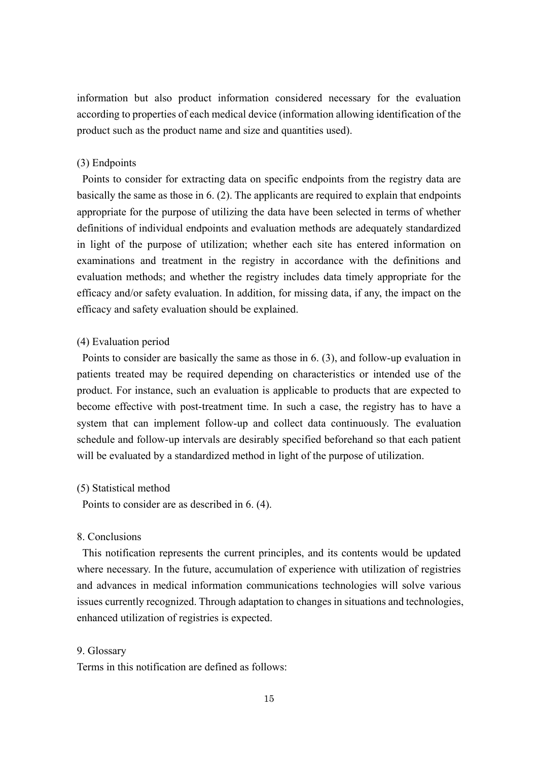information but also product information considered necessary for the evaluation according to properties of each medical device (information allowing identification of the product such as the product name and size and quantities used).

# (3) Endpoints

Points to consider for extracting data on specific endpoints from the registry data are basically the same as those in 6. (2). The applicants are required to explain that endpoints appropriate for the purpose of utilizing the data have been selected in terms of whether definitions of individual endpoints and evaluation methods are adequately standardized in light of the purpose of utilization; whether each site has entered information on examinations and treatment in the registry in accordance with the definitions and evaluation methods; and whether the registry includes data timely appropriate for the efficacy and/or safety evaluation. In addition, for missing data, if any, the impact on the efficacy and safety evaluation should be explained.

## (4) Evaluation period

Points to consider are basically the same as those in 6. (3), and follow-up evaluation in patients treated may be required depending on characteristics or intended use of the product. For instance, such an evaluation is applicable to products that are expected to become effective with post-treatment time. In such a case, the registry has to have a system that can implement follow-up and collect data continuously. The evaluation schedule and follow-up intervals are desirably specified beforehand so that each patient will be evaluated by a standardized method in light of the purpose of utilization.

#### (5) Statistical method

Points to consider are as described in 6. (4).

## 8. Conclusions

This notification represents the current principles, and its contents would be updated where necessary. In the future, accumulation of experience with utilization of registries and advances in medical information communications technologies will solve various issues currently recognized. Through adaptation to changes in situations and technologies, enhanced utilization of registries is expected.

#### 9. Glossary

Terms in this notification are defined as follows: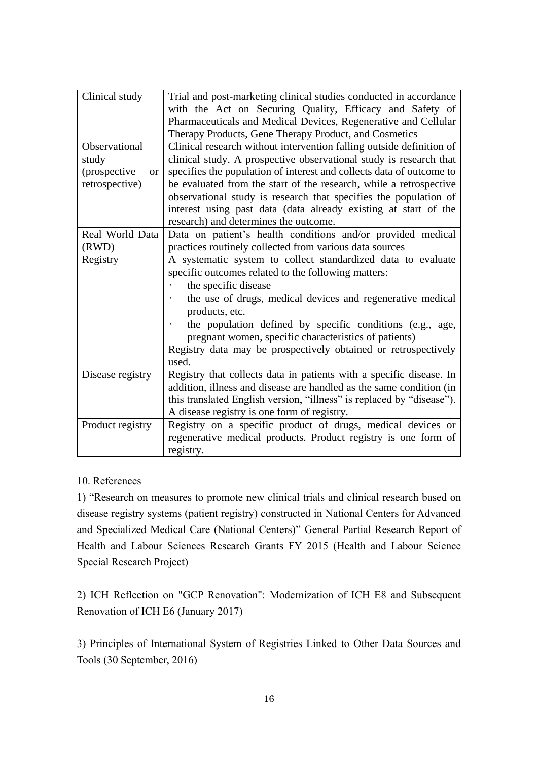| Clinical study            | Trial and post-marketing clinical studies conducted in accordance<br>with the Act on Securing Quality, Efficacy and Safety of<br>Pharmaceuticals and Medical Devices, Regenerative and Cellular |
|---------------------------|-------------------------------------------------------------------------------------------------------------------------------------------------------------------------------------------------|
|                           | Therapy Products, Gene Therapy Product, and Cosmetics                                                                                                                                           |
| Observational             | Clinical research without intervention falling outside definition of                                                                                                                            |
| study                     | clinical study. A prospective observational study is research that                                                                                                                              |
| (prospective<br><b>or</b> | specifies the population of interest and collects data of outcome to                                                                                                                            |
| retrospective)            | be evaluated from the start of the research, while a retrospective                                                                                                                              |
|                           | observational study is research that specifies the population of<br>interest using past data (data already existing at start of the<br>research) and determines the outcome.                    |
| Real World Data           | Data on patient's health conditions and/or provided medical                                                                                                                                     |
| (RWD)                     | practices routinely collected from various data sources                                                                                                                                         |
| Registry                  | A systematic system to collect standardized data to evaluate                                                                                                                                    |
|                           | specific outcomes related to the following matters:                                                                                                                                             |
|                           | the specific disease                                                                                                                                                                            |
|                           | the use of drugs, medical devices and regenerative medical<br>products, etc.                                                                                                                    |
|                           | the population defined by specific conditions (e.g., age,                                                                                                                                       |
|                           | pregnant women, specific characteristics of patients)                                                                                                                                           |
|                           | Registry data may be prospectively obtained or retrospectively<br>used.                                                                                                                         |
| Disease registry          | Registry that collects data in patients with a specific disease. In                                                                                                                             |
|                           | addition, illness and disease are handled as the same condition (in                                                                                                                             |
|                           | this translated English version, "illness" is replaced by "disease").                                                                                                                           |
|                           | A disease registry is one form of registry.                                                                                                                                                     |
| Product registry          | Registry on a specific product of drugs, medical devices or                                                                                                                                     |
|                           | regenerative medical products. Product registry is one form of                                                                                                                                  |
|                           | registry.                                                                                                                                                                                       |

# 10. References

1) "Research on measures to promote new clinical trials and clinical research based on disease registry systems (patient registry) constructed in National Centers for Advanced and Specialized Medical Care (National Centers)" General Partial Research Report of Health and Labour Sciences Research Grants FY 2015 (Health and Labour Science Special Research Project)

2) ICH Reflection on "GCP Renovation": Modernization of ICH E8 and Subsequent Renovation of ICH E6 (January 2017)

3) Principles of International System of Registries Linked to Other Data Sources and Tools (30 September, 2016)